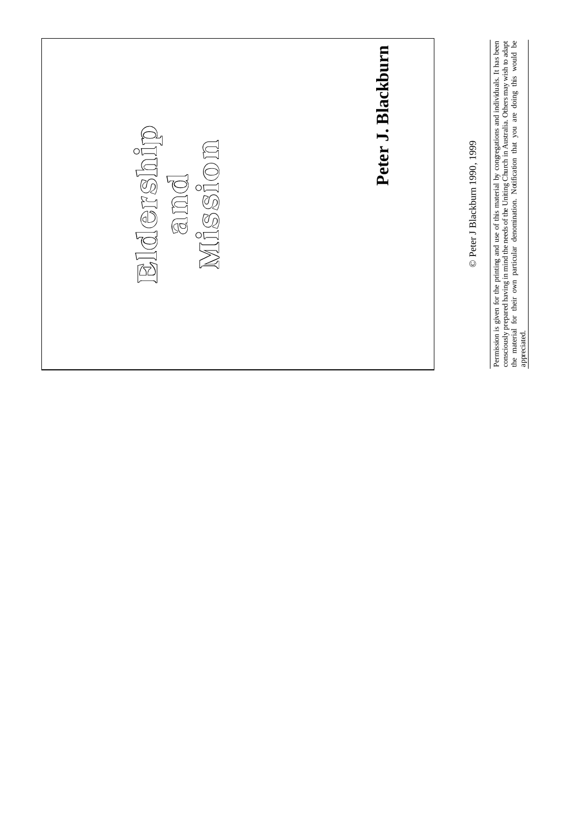

Permission is given for the printing and use of this material by congregations and individuals. It has been consciously prepared having in mind the needs of the Uniting Church in Australia. Others may wish to adapt the material for their own particular denomination. Notification that you are doing this would be

Permission is given for the printing and use of this material by congregations and individuals. It has been consciously prepared having in mind the needs of the Uniting Church in Australia. Others may wish to adapt the mat

appreciated.

appreciated.